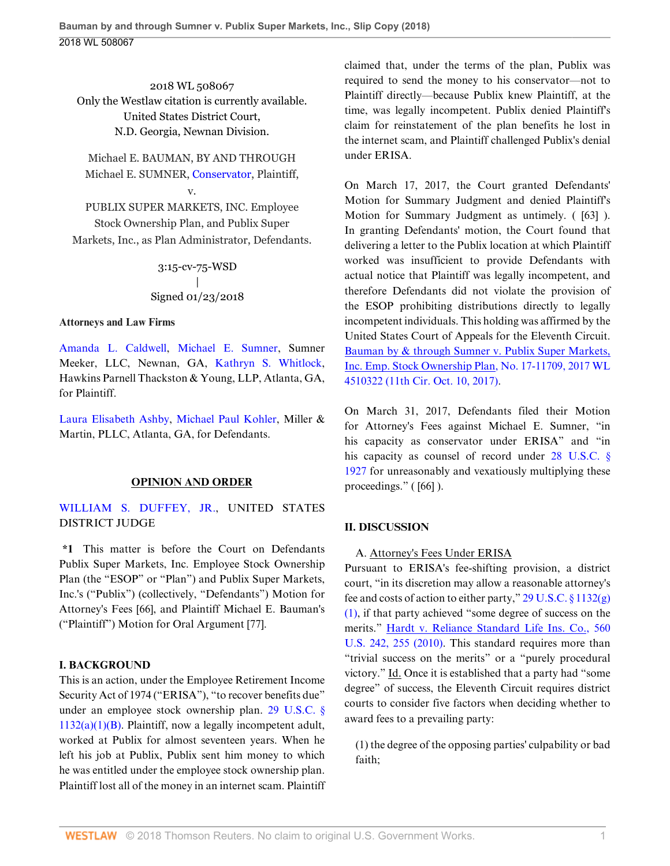2018 WL 508067 Only the Westlaw citation is currently available. United States District Court, N.D. Georgia, Newnan Division.

Michael E. BAUMAN, BY AND THROUGH Michael E. SUMNER, [Conservator,](http://www.westlaw.com/Search/Results.html?query=advanced%3a+OAID(5013771240)&saveJuris=False&contentType=BUSINESS-INVESTIGATOR&startIndex=1&contextData=(sc.Default)&categoryPageUrl=Home%2fCompanyInvestigator&originationContext=document&vr=3.0&rs=cblt1.0&transitionType=DocumentItem) Plaintiff,

## v.

PUBLIX SUPER MARKETS, INC. Employee Stock Ownership Plan, and Publix Super Markets, Inc., as Plan Administrator, Defendants.

### 3:15-cv-75-WSD | Signed 01/23/2018

#### **Attorneys and Law Firms**

[Amanda L. Caldwell](http://www.westlaw.com/Link/Document/FullText?findType=h&pubNum=176284&cite=0399364201&originatingDoc=Ie3ac561000ab11e8a964c4b0adba4447&refType=RQ&originationContext=document&vr=3.0&rs=cblt1.0&transitionType=DocumentItem&contextData=(sc.UserEnteredCitation)), [Michael E. Sumner,](http://www.westlaw.com/Link/Document/FullText?findType=h&pubNum=176284&cite=0397118901&originatingDoc=Ie3ac561000ab11e8a964c4b0adba4447&refType=RQ&originationContext=document&vr=3.0&rs=cblt1.0&transitionType=DocumentItem&contextData=(sc.UserEnteredCitation)) Sumner Meeker, LLC, Newnan, GA, [Kathryn S. Whitlock](http://www.westlaw.com/Link/Document/FullText?findType=h&pubNum=176284&cite=0128787901&originatingDoc=Ie3ac561000ab11e8a964c4b0adba4447&refType=RQ&originationContext=document&vr=3.0&rs=cblt1.0&transitionType=DocumentItem&contextData=(sc.UserEnteredCitation)), Hawkins Parnell Thackston & Young, LLP, Atlanta, GA, for Plaintiff.

[Laura Elisabeth Ashby,](http://www.westlaw.com/Link/Document/FullText?findType=h&pubNum=176284&cite=0408672201&originatingDoc=Ie3ac561000ab11e8a964c4b0adba4447&refType=RQ&originationContext=document&vr=3.0&rs=cblt1.0&transitionType=DocumentItem&contextData=(sc.UserEnteredCitation)) [Michael Paul Kohler,](http://www.westlaw.com/Link/Document/FullText?findType=h&pubNum=176284&cite=0338426501&originatingDoc=Ie3ac561000ab11e8a964c4b0adba4447&refType=RQ&originationContext=document&vr=3.0&rs=cblt1.0&transitionType=DocumentItem&contextData=(sc.UserEnteredCitation)) Miller & Martin, PLLC, Atlanta, GA, for Defendants.

#### **OPINION AND ORDER**

[WILLIAM S. DUFFEY, JR.](http://www.westlaw.com/Link/Document/FullText?findType=h&pubNum=176284&cite=0353703201&originatingDoc=Ie3ac561000ab11e8a964c4b0adba4447&refType=RQ&originationContext=document&vr=3.0&rs=cblt1.0&transitionType=DocumentItem&contextData=(sc.UserEnteredCitation)), UNITED STATES DISTRICT JUDGE

**\*1** This matter is before the Court on Defendants Publix Super Markets, Inc. Employee Stock Ownership Plan (the "ESOP" or "Plan") and Publix Super Markets, Inc.'s ("Publix") (collectively, "Defendants") Motion for Attorney's Fees [66], and Plaintiff Michael E. Bauman's ("Plaintiff") Motion for Oral Argument [77].

#### **I. BACKGROUND**

This is an action, under the Employee Retirement Income Security Act of 1974 ("ERISA"), "to recover benefits due" under an employee stock ownership plan. [29 U.S.C. §](http://www.westlaw.com/Link/Document/FullText?findType=L&pubNum=1000546&cite=29USCAS1132&originatingDoc=Ie3ac561000ab11e8a964c4b0adba4447&refType=SP&originationContext=document&vr=3.0&rs=cblt1.0&transitionType=DocumentItem&contextData=(sc.UserEnteredCitation)#co_pp_50660000823d1)  $1132(a)(1)(B)$ . Plaintiff, now a legally incompetent adult, worked at Publix for almost seventeen years. When he left his job at Publix, Publix sent him money to which he was entitled under the employee stock ownership plan. Plaintiff lost all of the money in an internet scam. Plaintiff claimed that, under the terms of the plan, Publix was required to send the money to his conservator—not to Plaintiff directly—because Publix knew Plaintiff, at the time, was legally incompetent. Publix denied Plaintiff's claim for reinstatement of the plan benefits he lost in the internet scam, and Plaintiff challenged Publix's denial under ERISA.

On March 17, 2017, the Court granted Defendants' Motion for Summary Judgment and denied Plaintiff's Motion for Summary Judgment as untimely. ( [63] ). In granting Defendants' motion, the Court found that delivering a letter to the Publix location at which Plaintiff worked was insufficient to provide Defendants with actual notice that Plaintiff was legally incompetent, and therefore Defendants did not violate the provision of the ESOP prohibiting distributions directly to legally incompetent individuals. This holding was affirmed by the United States Court of Appeals for the Eleventh Circuit. [Bauman by & through Sumner v. Publix Super Markets,](http://www.westlaw.com/Link/Document/FullText?findType=Y&serNum=2042843142&pubNum=0000999&originatingDoc=Ie3ac561000ab11e8a964c4b0adba4447&refType=RP&originationContext=document&vr=3.0&rs=cblt1.0&transitionType=DocumentItem&contextData=(sc.UserEnteredCitation)) [Inc. Emp. Stock Ownership Plan, No. 17-11709, 2017 WL](http://www.westlaw.com/Link/Document/FullText?findType=Y&serNum=2042843142&pubNum=0000999&originatingDoc=Ie3ac561000ab11e8a964c4b0adba4447&refType=RP&originationContext=document&vr=3.0&rs=cblt1.0&transitionType=DocumentItem&contextData=(sc.UserEnteredCitation)) [4510322 \(11th Cir. Oct. 10, 2017\)](http://www.westlaw.com/Link/Document/FullText?findType=Y&serNum=2042843142&pubNum=0000999&originatingDoc=Ie3ac561000ab11e8a964c4b0adba4447&refType=RP&originationContext=document&vr=3.0&rs=cblt1.0&transitionType=DocumentItem&contextData=(sc.UserEnteredCitation)).

On March 31, 2017, Defendants filed their Motion for Attorney's Fees against Michael E. Sumner, "in his capacity as conservator under ERISA" and "in his capacity as counsel of record under [28 U.S.C. §](http://www.westlaw.com/Link/Document/FullText?findType=L&pubNum=1000546&cite=28USCAS1927&originatingDoc=Ie3ac561000ab11e8a964c4b0adba4447&refType=LQ&originationContext=document&vr=3.0&rs=cblt1.0&transitionType=DocumentItem&contextData=(sc.UserEnteredCitation)) [1927](http://www.westlaw.com/Link/Document/FullText?findType=L&pubNum=1000546&cite=28USCAS1927&originatingDoc=Ie3ac561000ab11e8a964c4b0adba4447&refType=LQ&originationContext=document&vr=3.0&rs=cblt1.0&transitionType=DocumentItem&contextData=(sc.UserEnteredCitation)) for unreasonably and vexatiously multiplying these proceedings." ( $[66]$ ).

#### **II. DISCUSSION**

#### A. Attorney's Fees Under ERISA

Pursuant to ERISA's fee-shifting provision, a district court, "in its discretion may allow a reasonable attorney's fee and costs of action to either party," [29 U.S.C. § 1132\(g\)](http://www.westlaw.com/Link/Document/FullText?findType=L&pubNum=1000546&cite=29USCAS1132&originatingDoc=Ie3ac561000ab11e8a964c4b0adba4447&refType=SP&originationContext=document&vr=3.0&rs=cblt1.0&transitionType=DocumentItem&contextData=(sc.UserEnteredCitation)#co_pp_4d690000c9482) [\(1\),](http://www.westlaw.com/Link/Document/FullText?findType=L&pubNum=1000546&cite=29USCAS1132&originatingDoc=Ie3ac561000ab11e8a964c4b0adba4447&refType=SP&originationContext=document&vr=3.0&rs=cblt1.0&transitionType=DocumentItem&contextData=(sc.UserEnteredCitation)#co_pp_4d690000c9482) if that party achieved "some degree of success on the merits." [Hardt v. Reliance Standard Life Ins. Co., 560](http://www.westlaw.com/Link/Document/FullText?findType=Y&serNum=2022098188&pubNum=0000780&originatingDoc=Ie3ac561000ab11e8a964c4b0adba4447&refType=RP&fi=co_pp_sp_780_255&originationContext=document&vr=3.0&rs=cblt1.0&transitionType=DocumentItem&contextData=(sc.UserEnteredCitation)#co_pp_sp_780_255) [U.S. 242, 255 \(2010\).](http://www.westlaw.com/Link/Document/FullText?findType=Y&serNum=2022098188&pubNum=0000780&originatingDoc=Ie3ac561000ab11e8a964c4b0adba4447&refType=RP&fi=co_pp_sp_780_255&originationContext=document&vr=3.0&rs=cblt1.0&transitionType=DocumentItem&contextData=(sc.UserEnteredCitation)#co_pp_sp_780_255) This standard requires more than "trivial success on the merits" or a "purely procedural victory." Id. Once it is established that a party had "some degree" of success, the Eleventh Circuit requires district courts to consider five factors when deciding whether to award fees to a prevailing party:

(1) the degree of the opposing parties' culpability or bad faith;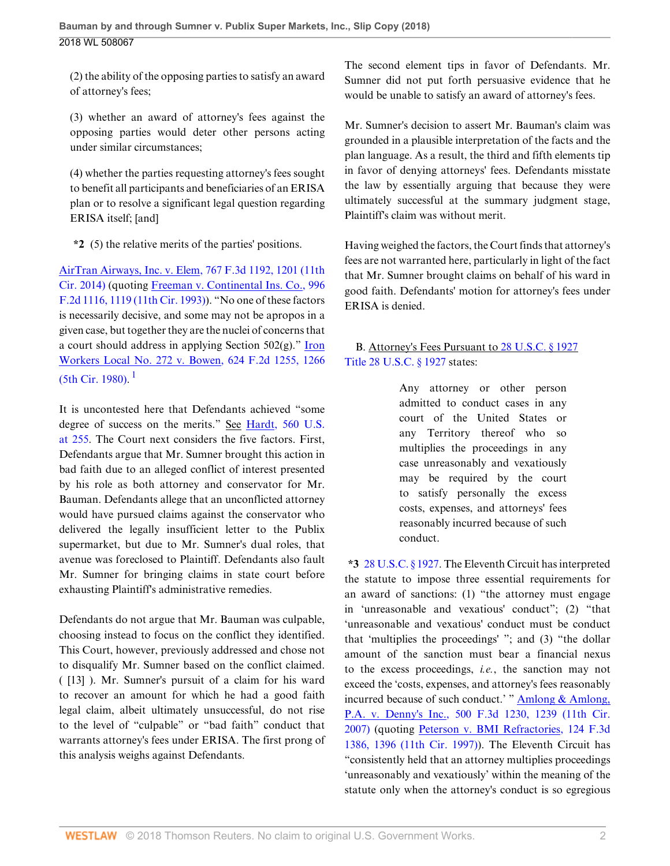(2) the ability of the opposing parties to satisfy an award of attorney's fees;

(3) whether an award of attorney's fees against the opposing parties would deter other persons acting under similar circumstances;

(4) whether the parties requesting attorney's fees sought to benefit all participants and beneficiaries of an ERISA plan or to resolve a significant legal question regarding ERISA itself; [and]

**\*2** (5) the relative merits of the parties' positions.

[AirTran Airways, Inc. v. Elem, 767 F.3d 1192, 1201 \(11th](http://www.westlaw.com/Link/Document/FullText?findType=Y&serNum=2034359891&pubNum=0000506&originatingDoc=Ie3ac561000ab11e8a964c4b0adba4447&refType=RP&fi=co_pp_sp_506_1201&originationContext=document&vr=3.0&rs=cblt1.0&transitionType=DocumentItem&contextData=(sc.UserEnteredCitation)#co_pp_sp_506_1201) [Cir. 2014\)](http://www.westlaw.com/Link/Document/FullText?findType=Y&serNum=2034359891&pubNum=0000506&originatingDoc=Ie3ac561000ab11e8a964c4b0adba4447&refType=RP&fi=co_pp_sp_506_1201&originationContext=document&vr=3.0&rs=cblt1.0&transitionType=DocumentItem&contextData=(sc.UserEnteredCitation)#co_pp_sp_506_1201) (quoting [Freeman v. Continental Ins. Co., 996](http://www.westlaw.com/Link/Document/FullText?findType=Y&serNum=1993143478&pubNum=0000350&originatingDoc=Ie3ac561000ab11e8a964c4b0adba4447&refType=RP&fi=co_pp_sp_350_1119&originationContext=document&vr=3.0&rs=cblt1.0&transitionType=DocumentItem&contextData=(sc.UserEnteredCitation)#co_pp_sp_350_1119) [F.2d 1116, 1119 \(11th Cir. 1993\)\)](http://www.westlaw.com/Link/Document/FullText?findType=Y&serNum=1993143478&pubNum=0000350&originatingDoc=Ie3ac561000ab11e8a964c4b0adba4447&refType=RP&fi=co_pp_sp_350_1119&originationContext=document&vr=3.0&rs=cblt1.0&transitionType=DocumentItem&contextData=(sc.UserEnteredCitation)#co_pp_sp_350_1119). "No one of these factors is necessarily decisive, and some may not be apropos in a given case, but together they are the nuclei of concerns that a court should address in applying Section 502(g)." [Iron](http://www.westlaw.com/Link/Document/FullText?findType=Y&serNum=1980118642&pubNum=0000350&originatingDoc=Ie3ac561000ab11e8a964c4b0adba4447&refType=RP&fi=co_pp_sp_350_1266&originationContext=document&vr=3.0&rs=cblt1.0&transitionType=DocumentItem&contextData=(sc.UserEnteredCitation)#co_pp_sp_350_1266) [Workers Local No. 272 v. Bowen, 624 F.2d 1255, 1266](http://www.westlaw.com/Link/Document/FullText?findType=Y&serNum=1980118642&pubNum=0000350&originatingDoc=Ie3ac561000ab11e8a964c4b0adba4447&refType=RP&fi=co_pp_sp_350_1266&originationContext=document&vr=3.0&rs=cblt1.0&transitionType=DocumentItem&contextData=(sc.UserEnteredCitation)#co_pp_sp_350_1266)  $(5th$  Cir. [1](#page-2-0)980).<sup>1</sup>

<span id="page-1-0"></span>It is uncontested here that Defendants achieved "some degree of success on the merits." See [Hardt, 560 U.S.](http://www.westlaw.com/Link/Document/FullText?findType=Y&serNum=2022098188&pubNum=0000780&originatingDoc=Ie3ac561000ab11e8a964c4b0adba4447&refType=RP&fi=co_pp_sp_780_255&originationContext=document&vr=3.0&rs=cblt1.0&transitionType=DocumentItem&contextData=(sc.UserEnteredCitation)#co_pp_sp_780_255) [at 255](http://www.westlaw.com/Link/Document/FullText?findType=Y&serNum=2022098188&pubNum=0000780&originatingDoc=Ie3ac561000ab11e8a964c4b0adba4447&refType=RP&fi=co_pp_sp_780_255&originationContext=document&vr=3.0&rs=cblt1.0&transitionType=DocumentItem&contextData=(sc.UserEnteredCitation)#co_pp_sp_780_255). The Court next considers the five factors. First, Defendants argue that Mr. Sumner brought this action in bad faith due to an alleged conflict of interest presented by his role as both attorney and conservator for Mr. Bauman. Defendants allege that an unconflicted attorney would have pursued claims against the conservator who delivered the legally insufficient letter to the Publix supermarket, but due to Mr. Sumner's dual roles, that avenue was foreclosed to Plaintiff. Defendants also fault Mr. Sumner for bringing claims in state court before exhausting Plaintiff's administrative remedies.

Defendants do not argue that Mr. Bauman was culpable, choosing instead to focus on the conflict they identified. This Court, however, previously addressed and chose not to disqualify Mr. Sumner based on the conflict claimed. ( [13] ). Mr. Sumner's pursuit of a claim for his ward to recover an amount for which he had a good faith legal claim, albeit ultimately unsuccessful, do not rise to the level of "culpable" or "bad faith" conduct that warrants attorney's fees under ERISA. The first prong of this analysis weighs against Defendants.

The second element tips in favor of Defendants. Mr. Sumner did not put forth persuasive evidence that he would be unable to satisfy an award of attorney's fees.

Mr. Sumner's decision to assert Mr. Bauman's claim was grounded in a plausible interpretation of the facts and the plan language. As a result, the third and fifth elements tip in favor of denying attorneys' fees. Defendants misstate the law by essentially arguing that because they were ultimately successful at the summary judgment stage, Plaintiff's claim was without merit.

Having weighed the factors, the Court finds that attorney's fees are not warranted here, particularly in light of the fact that Mr. Sumner brought claims on behalf of his ward in good faith. Defendants' motion for attorney's fees under ERISA is denied.

# B. Attorney's Fees Pursuant to [28 U.S.C. § 1927](http://www.westlaw.com/Link/Document/FullText?findType=L&pubNum=1000546&cite=28USCAS1927&originatingDoc=Ie3ac561000ab11e8a964c4b0adba4447&refType=LQ&originationContext=document&vr=3.0&rs=cblt1.0&transitionType=DocumentItem&contextData=(sc.UserEnteredCitation)) [Title 28 U.S.C. § 1927](http://www.westlaw.com/Link/Document/FullText?findType=L&pubNum=1000546&cite=28USCAS1927&originatingDoc=Ie3ac561000ab11e8a964c4b0adba4447&refType=LQ&originationContext=document&vr=3.0&rs=cblt1.0&transitionType=DocumentItem&contextData=(sc.UserEnteredCitation)) states:

Any attorney or other person admitted to conduct cases in any court of the United States or any Territory thereof who so multiplies the proceedings in any case unreasonably and vexatiously may be required by the court to satisfy personally the excess costs, expenses, and attorneys' fees reasonably incurred because of such conduct.

**\*3** [28 U.S.C. § 1927](http://www.westlaw.com/Link/Document/FullText?findType=L&pubNum=1000546&cite=28USCAS1927&originatingDoc=Ie3ac561000ab11e8a964c4b0adba4447&refType=LQ&originationContext=document&vr=3.0&rs=cblt1.0&transitionType=DocumentItem&contextData=(sc.UserEnteredCitation)). The Eleventh Circuit has interpreted the statute to impose three essential requirements for an award of sanctions: (1) "the attorney must engage in 'unreasonable and vexatious' conduct"; (2) "that 'unreasonable and vexatious' conduct must be conduct that 'multiplies the proceedings' "; and (3) "the dollar amount of the sanction must bear a financial nexus to the excess proceedings, *i.e.*, the sanction may not exceed the 'costs, expenses, and attorney's fees reasonably incurred because of such conduct.' " [Amlong & Amlong,](http://www.westlaw.com/Link/Document/FullText?findType=Y&serNum=2013188086&pubNum=0000506&originatingDoc=Ie3ac561000ab11e8a964c4b0adba4447&refType=RP&fi=co_pp_sp_506_1239&originationContext=document&vr=3.0&rs=cblt1.0&transitionType=DocumentItem&contextData=(sc.UserEnteredCitation)#co_pp_sp_506_1239) [P.A. v. Denny's Inc., 500 F.3d 1230, 1239 \(11th Cir.](http://www.westlaw.com/Link/Document/FullText?findType=Y&serNum=2013188086&pubNum=0000506&originatingDoc=Ie3ac561000ab11e8a964c4b0adba4447&refType=RP&fi=co_pp_sp_506_1239&originationContext=document&vr=3.0&rs=cblt1.0&transitionType=DocumentItem&contextData=(sc.UserEnteredCitation)#co_pp_sp_506_1239) [2007\)](http://www.westlaw.com/Link/Document/FullText?findType=Y&serNum=2013188086&pubNum=0000506&originatingDoc=Ie3ac561000ab11e8a964c4b0adba4447&refType=RP&fi=co_pp_sp_506_1239&originationContext=document&vr=3.0&rs=cblt1.0&transitionType=DocumentItem&contextData=(sc.UserEnteredCitation)#co_pp_sp_506_1239) (quoting [Peterson v. BMI Refractories, 124 F.3d](http://www.westlaw.com/Link/Document/FullText?findType=Y&serNum=1997205070&pubNum=0000506&originatingDoc=Ie3ac561000ab11e8a964c4b0adba4447&refType=RP&fi=co_pp_sp_506_1396&originationContext=document&vr=3.0&rs=cblt1.0&transitionType=DocumentItem&contextData=(sc.UserEnteredCitation)#co_pp_sp_506_1396) [1386, 1396 \(11th Cir. 1997\)\)](http://www.westlaw.com/Link/Document/FullText?findType=Y&serNum=1997205070&pubNum=0000506&originatingDoc=Ie3ac561000ab11e8a964c4b0adba4447&refType=RP&fi=co_pp_sp_506_1396&originationContext=document&vr=3.0&rs=cblt1.0&transitionType=DocumentItem&contextData=(sc.UserEnteredCitation)#co_pp_sp_506_1396). The Eleventh Circuit has "consistently held that an attorney multiplies proceedings 'unreasonably and vexatiously' within the meaning of the statute only when the attorney's conduct is so egregious